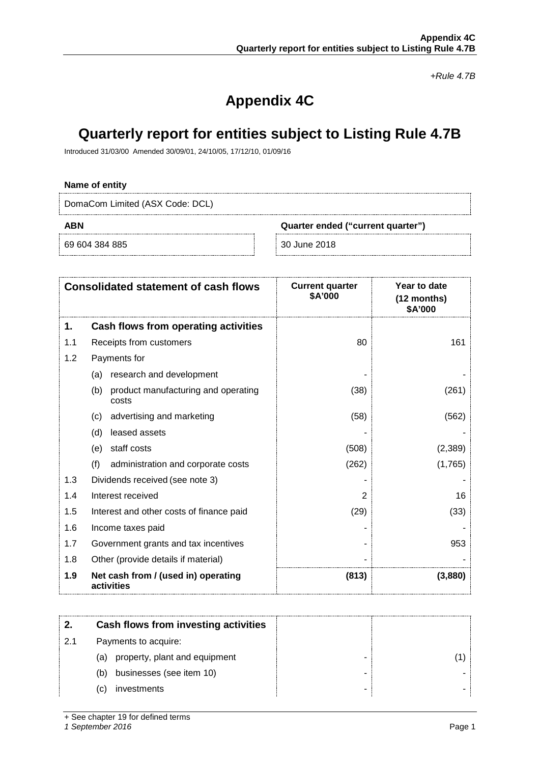*+Rule 4.7B*

# **Appendix 4C**

# **Quarterly report for entities subject to Listing Rule 4.7B**

Introduced 31/03/00 Amended 30/09/01, 24/10/05, 17/12/10, 01/09/16

#### **Name of entity**

DomaCom Limited (ASX Code: DCL)

69 604 384 885 30 June 2018

**ABN Quarter ended ("current quarter")**

| <b>Consolidated statement of cash flows</b> |                                                     | <b>Current quarter</b><br>\$A'000 | Year to date<br>(12 months)<br>\$A'000 |
|---------------------------------------------|-----------------------------------------------------|-----------------------------------|----------------------------------------|
| 1.                                          | Cash flows from operating activities                |                                   |                                        |
| 1.1                                         | Receipts from customers                             | 80                                | 161                                    |
| 1.2                                         | Payments for                                        |                                   |                                        |
|                                             | research and development<br>(a)                     |                                   |                                        |
|                                             | (b)<br>product manufacturing and operating<br>costs | (38)                              | (261)                                  |
|                                             | advertising and marketing<br>(c)                    | (58)                              | (562)                                  |
|                                             | leased assets<br>(d)                                |                                   |                                        |
|                                             | staff costs<br>(e)                                  | (508)                             | (2,389)                                |
|                                             | (f)<br>administration and corporate costs           | (262)                             | (1,765)                                |
| 1.3                                         | Dividends received (see note 3)                     |                                   |                                        |
| 1.4                                         | Interest received                                   | 2                                 | 16                                     |
| 1.5                                         | Interest and other costs of finance paid            | (29)                              | (33)                                   |
| 1.6                                         | Income taxes paid                                   |                                   |                                        |
| 1.7                                         | Government grants and tax incentives                |                                   | 953                                    |
| 1.8                                         | Other (provide details if material)                 |                                   |                                        |
| 1.9                                         | Net cash from / (used in) operating<br>activities   | (813)                             | (3,880)                                |

|     | Cash flows from investing activities |  |
|-----|--------------------------------------|--|
| 2.1 | Payments to acquire:                 |  |
|     | property, plant and equipment<br>(a) |  |
|     | businesses (see item 10)<br>(b)      |  |
|     | investments<br>C)                    |  |

+ See chapter 19 for defined terms

*1 September 2016* Page 1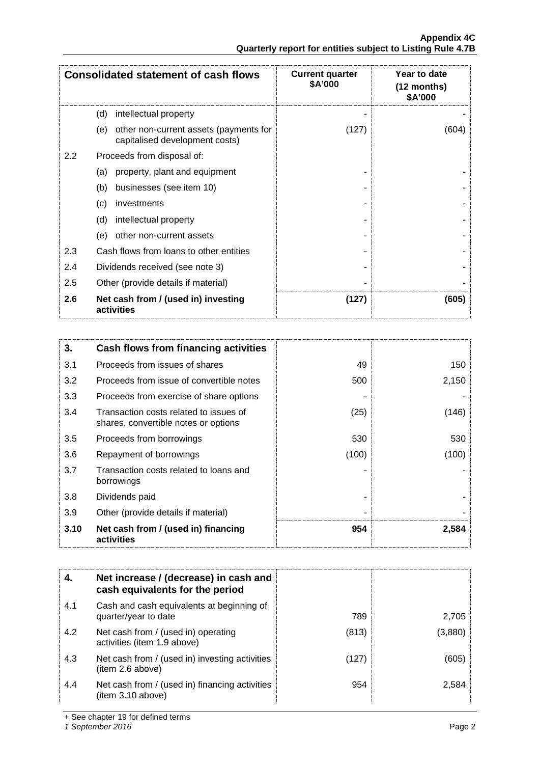|                  | <b>Consolidated statement of cash flows</b>                                     | <b>Current quarter</b><br>\$A'000 | Year to date<br>(12 months)<br>\$A'000 |
|------------------|---------------------------------------------------------------------------------|-----------------------------------|----------------------------------------|
|                  | (d)<br>intellectual property                                                    |                                   |                                        |
|                  | other non-current assets (payments for<br>(e)<br>capitalised development costs) | (127)                             | (604)                                  |
| $2.2\phantom{0}$ | Proceeds from disposal of:                                                      |                                   |                                        |
|                  | property, plant and equipment<br>(a)                                            |                                   |                                        |
|                  | businesses (see item 10)<br>(b)                                                 |                                   |                                        |
|                  | investments<br>$\left( c\right)$                                                |                                   |                                        |
|                  | (d)<br>intellectual property                                                    |                                   |                                        |
|                  | other non-current assets<br>(e)                                                 |                                   |                                        |
| 2.3              | Cash flows from loans to other entities                                         |                                   |                                        |
| 2.4              | Dividends received (see note 3)                                                 |                                   |                                        |
| 2.5              | Other (provide details if material)                                             |                                   |                                        |
| 2.6              | Net cash from / (used in) investing<br>activities                               | (127)                             | (605)                                  |

| 3.   | Cash flows from financing activities                                           |       |       |
|------|--------------------------------------------------------------------------------|-------|-------|
| 3.1  | Proceeds from issues of shares                                                 | 49    | 150   |
| 3.2  | Proceeds from issue of convertible notes                                       | 500   | 2,150 |
| 3.3  | Proceeds from exercise of share options                                        |       |       |
| 3.4  | Transaction costs related to issues of<br>shares, convertible notes or options | (25)  | (146) |
| 3.5  | Proceeds from borrowings                                                       | 530   | 530   |
| 3.6  | Repayment of borrowings                                                        | (100) | (100) |
| 3.7  | Transaction costs related to loans and<br>borrowings                           |       |       |
| 3.8  | Dividends paid                                                                 |       |       |
| 3.9  | Other (provide details if material)                                            |       |       |
| 3.10 | Net cash from / (used in) financing<br>activities                              | 954   | 2,584 |

|     | Net increase / (decrease) in cash and<br>cash equivalents for the period |       |         |
|-----|--------------------------------------------------------------------------|-------|---------|
| 4.1 | Cash and cash equivalents at beginning of<br>quarter/year to date        | 789   | 2.705   |
| 4.2 | Net cash from / (used in) operating<br>activities (item 1.9 above)       | (813) | (3,880) |
| 4.3 | Net cash from / (used in) investing activities<br>(item 2.6 above)       | (127) | (605    |
| 4.4 | Net cash from / (used in) financing activities<br>(item 3.10 above)      | 954   | 2.584   |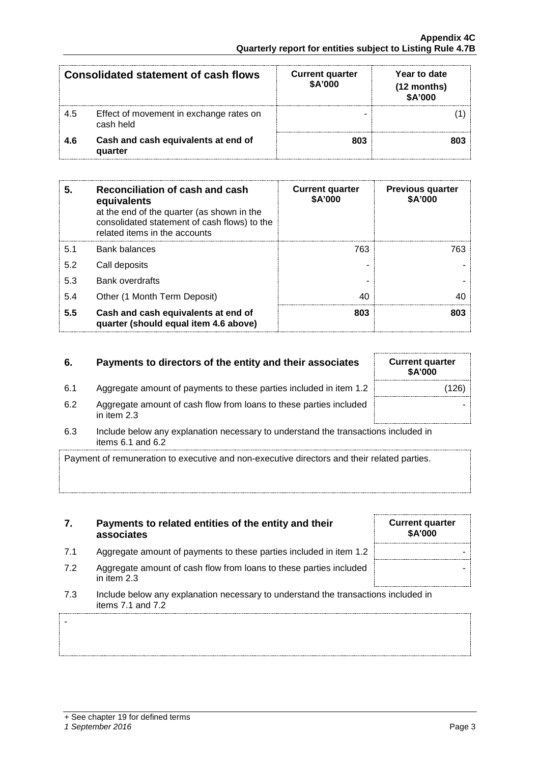-

| <b>Consolidated statement of cash flows</b> |                                                      | <b>Current quarter</b><br>\$A'000 | Year to date<br>(12 months)<br>\$A'000 |
|---------------------------------------------|------------------------------------------------------|-----------------------------------|----------------------------------------|
| 4.5                                         | Effect of movement in exchange rates on<br>cash held |                                   |                                        |
| 46                                          | Cash and cash equivalents at end of<br>quarter       | 803                               |                                        |

| 5.  | Reconciliation of cash and cash<br>equivalents<br>at the end of the quarter (as shown in the<br>consolidated statement of cash flows) to the<br>related items in the accounts | <b>Current quarter</b><br>\$A'000 | <b>Previous quarter</b><br>\$A'000 |
|-----|-------------------------------------------------------------------------------------------------------------------------------------------------------------------------------|-----------------------------------|------------------------------------|
| 5.1 | <b>Bank balances</b>                                                                                                                                                          | 763                               | 763.                               |
| 5.2 | Call deposits                                                                                                                                                                 |                                   |                                    |
| 5.3 | <b>Bank overdrafts</b>                                                                                                                                                        |                                   |                                    |
| 5.4 | Other (1 Month Term Deposit)                                                                                                                                                  | 4በ                                |                                    |
| 5.5 | Cash and cash equivalents at end of<br>quarter (should equal item 4.6 above)                                                                                                  | 803                               | 803                                |

# **6.** Payments to directors of the entity and their associates

- 6.1 Aggregate amount of payments to these parties included in item 1.2
- 6.2 Aggregate amount of cash flow from loans to these parties included in item 2.3
- 6.3 Include below any explanation necessary to understand the transactions included in items 6.1 and 6.2

Payment of remuneration to executive and non-executive directors and their related parties.

## **7. Payments to related entities of the entity and their associates**

- 7.1 Aggregate amount of payments to these parties included in item 1.2
- 7.2 Aggregate amount of cash flow from loans to these parties included in item 2.3
- 7.3 Include below any explanation necessary to understand the transactions included in items 7.1 and 7.2

| <b>Current quarter</b><br>\$A'000 |  |
|-----------------------------------|--|
|                                   |  |
|                                   |  |

| <b>Current quarter</b><br><b>\$A'000</b> |  |
|------------------------------------------|--|
| (126)                                    |  |
|                                          |  |
|                                          |  |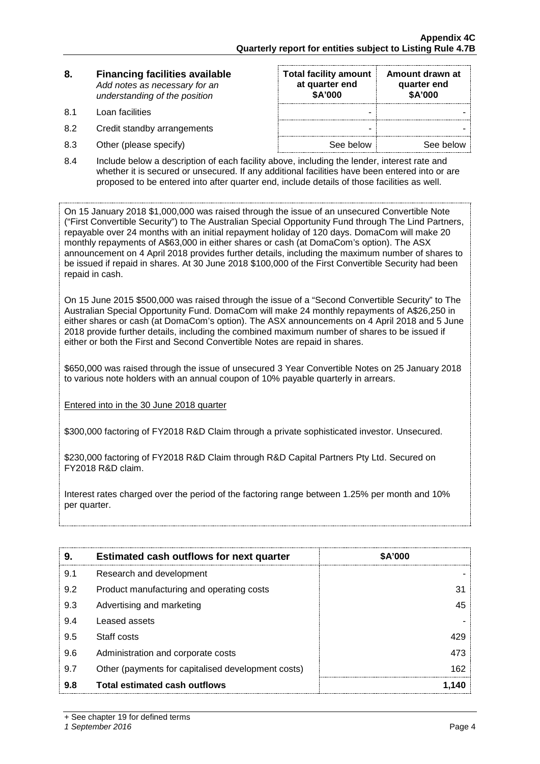| 8. | <b>Financing facilities available</b> |
|----|---------------------------------------|
|    | Add notes as necessary for an         |
|    | understanding of the position         |

- 
- 8.2 Credit standby arrangements
- $8.3$  Other (please specify)

| 8.  | <b>Financing facilities available</b><br>Add notes as necessary for an<br>understanding of the position | <b>Total facility amount</b><br>at quarter end<br>\$A'000 | Amount drawn at<br>quarter end<br>\$A'000 |
|-----|---------------------------------------------------------------------------------------------------------|-----------------------------------------------------------|-------------------------------------------|
| 81  | Loan facilities                                                                                         | -                                                         |                                           |
| 8.2 | Credit standby arrangements                                                                             | -                                                         |                                           |
| 8.3 | Other (please specify)                                                                                  | See below                                                 | See below                                 |

8.4 Include below a description of each facility above, including the lender, interest rate and whether it is secured or unsecured. If any additional facilities have been entered into or are proposed to be entered into after quarter end, include details of those facilities as well.

On 15 January 2018 \$1,000,000 was raised through the issue of an unsecured Convertible Note ("First Convertible Security") to The Australian Special Opportunity Fund through The Lind Partners, repayable over 24 months with an initial repayment holiday of 120 days. DomaCom will make 20 monthly repayments of A\$63,000 in either shares or cash (at DomaCom's option). The ASX announcement on 4 April 2018 provides further details, including the maximum number of shares to be issued if repaid in shares. At 30 June 2018 \$100,000 of the First Convertible Security had been repaid in cash.

On 15 June 2015 \$500,000 was raised through the issue of a "Second Convertible Security" to The Australian Special Opportunity Fund. DomaCom will make 24 monthly repayments of A\$26,250 in either shares or cash (at DomaCom's option). The ASX announcements on 4 April 2018 and 5 June 2018 provide further details, including the combined maximum number of shares to be issued if either or both the First and Second Convertible Notes are repaid in shares.

\$650,000 was raised through the issue of unsecured 3 Year Convertible Notes on 25 January 2018 to various note holders with an annual coupon of 10% payable quarterly in arrears.

Entered into in the 30 June 2018 quarter

\$300,000 factoring of FY2018 R&D Claim through a private sophisticated investor. Unsecured.

\$230,000 factoring of FY2018 R&D Claim through R&D Capital Partners Pty Ltd. Secured on FY2018 R&D claim.

Interest rates charged over the period of the factoring range between 1.25% per month and 10% per quarter.

| 9.  | <b>Estimated cash outflows for next quarter</b>    | <b>SA'000</b> |
|-----|----------------------------------------------------|---------------|
| 9.1 | Research and development                           |               |
| 9.2 | Product manufacturing and operating costs          |               |
| 9.3 | Advertising and marketing                          | 45            |
| 9.4 | Leased assets                                      |               |
| 9.5 | Staff costs                                        |               |
| 9.6 | Administration and corporate costs                 | 473           |
| 9.7 | Other (payments for capitalised development costs) | 162           |
| 9.8 | Total estimated cash outflows                      |               |